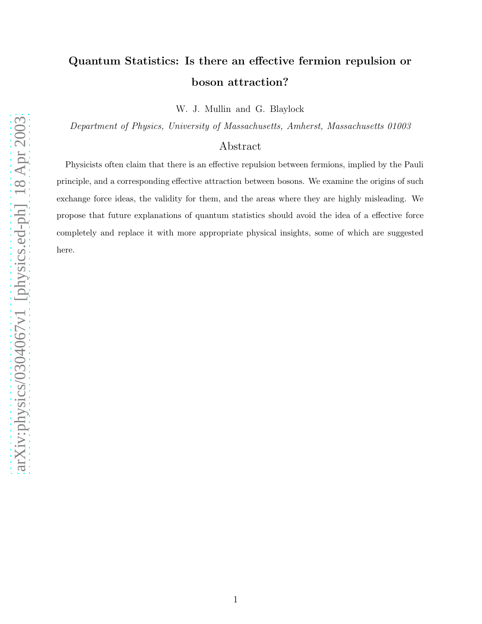# Quantum Statistics: Is there an effective fermion repulsion or boson attraction?

W. J. Mullin and G. Blaylock

Department of Physics, University of Massachusetts, Amherst, Massachusetts 01003

## Abstract

Physicists often claim that there is an effective repulsion between fermions, implied by the Pauli principle, and a corresponding effective attraction between bosons. We examine the origins of such exchange force ideas, the validity for them, and the areas where they are highly misleading. We propose that future explanations of quantum statistics should avoid the idea of a effective force completely and replace it with more appropriate physical insights, some of which are suggested here.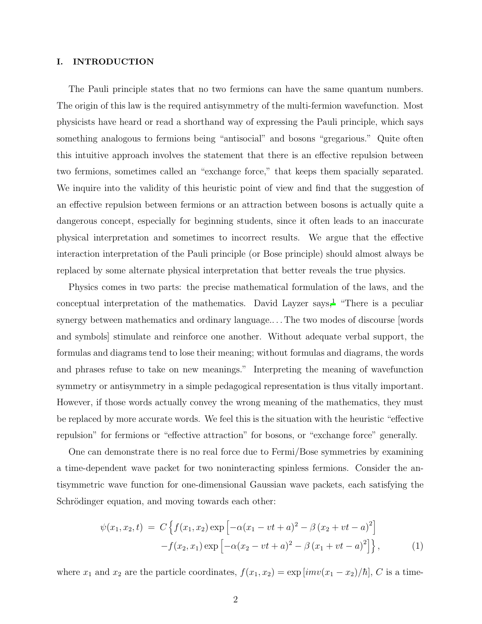#### <span id="page-1-0"></span>I. INTRODUCTION

The Pauli principle states that no two fermions can have the same quantum numbers. The origin of this law is the required antisymmetry of the multi-fermion wavefunction. Most physicists have heard or read a shorthand way of expressing the Pauli principle, which says something analogous to fermions being "antisocial" and bosons "gregarious." Quite often this intuitive approach involves the statement that there is an effective repulsion between two fermions, sometimes called an "exchange force," that keeps them spacially separated. We inquire into the validity of this heuristic point of view and find that the suggestion of an effective repulsion between fermions or an attraction between bosons is actually quite a dangerous concept, especially for beginning students, since it often leads to an inaccurate physical interpretation and sometimes to incorrect results. We argue that the effective interaction interpretation of the Pauli principle (or Bose principle) should almost always be replaced by some alternate physical interpretation that better reveals the true physics.

Physics comes in two parts: the precise mathematical formulation of the laws, and the conceptual interpretation of the mathematics. David Layzer says,<sup>[1](#page-20-0)</sup> "There is a peculiar synergy between mathematics and ordinary language.. . . The two modes of discourse [words and symbols] stimulate and reinforce one another. Without adequate verbal support, the formulas and diagrams tend to lose their meaning; without formulas and diagrams, the words and phrases refuse to take on new meanings." Interpreting the meaning of wavefunction symmetry or antisymmetry in a simple pedagogical representation is thus vitally important. However, if those words actually convey the wrong meaning of the mathematics, they must be replaced by more accurate words. We feel this is the situation with the heuristic "effective repulsion" for fermions or "effective attraction" for bosons, or "exchange force" generally.

One can demonstrate there is no real force due to Fermi/Bose symmetries by examining a time-dependent wave packet for two noninteracting spinless fermions. Consider the antisymmetric wave function for one-dimensional Gaussian wave packets, each satisfying the Schrödinger equation, and moving towards each other:

$$
\psi(x_1, x_2, t) = C \left\{ f(x_1, x_2) \exp \left[ -\alpha (x_1 - vt + a)^2 - \beta (x_2 + vt - a)^2 \right] - f(x_2, x_1) \exp \left[ -\alpha (x_2 - vt + a)^2 - \beta (x_1 + vt - a)^2 \right] \right\},\tag{1}
$$

where  $x_1$  and  $x_2$  are the particle coordinates,  $f(x_1, x_2) = \exp[i m v(x_1 - x_2)/\hbar]$ , C is a time-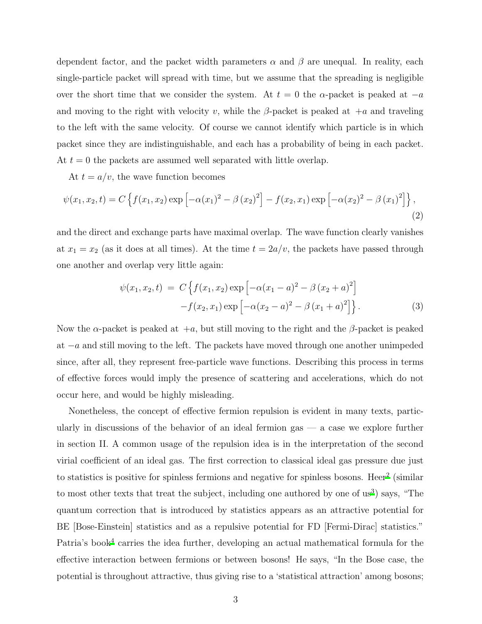dependent factor, and the packet width parameters  $\alpha$  and  $\beta$  are unequal. In reality, each single-particle packet will spread with time, but we assume that the spreading is negligible over the short time that we consider the system. At  $t = 0$  the  $\alpha$ -packet is peaked at  $-a$ and moving to the right with velocity v, while the  $\beta$ -packet is peaked at  $+a$  and traveling to the left with the same velocity. Of course we cannot identify which particle is in which packet since they are indistinguishable, and each has a probability of being in each packet. At  $t = 0$  the packets are assumed well separated with little overlap.

At  $t = a/v$ , the wave function becomes

$$
\psi(x_1, x_2, t) = C \left\{ f(x_1, x_2) \exp \left[ -\alpha (x_1)^2 - \beta (x_2)^2 \right] - f(x_2, x_1) \exp \left[ -\alpha (x_2)^2 - \beta (x_1)^2 \right] \right\},\tag{2}
$$

and the direct and exchange parts have maximal overlap. The wave function clearly vanishes at  $x_1 = x_2$  (as it does at all times). At the time  $t = 2a/v$ , the packets have passed through one another and overlap very little again:

$$
\psi(x_1, x_2, t) = C \left\{ f(x_1, x_2) \exp \left[ -\alpha (x_1 - a)^2 - \beta (x_2 + a)^2 \right] - f(x_2, x_1) \exp \left[ -\alpha (x_2 - a)^2 - \beta (x_1 + a)^2 \right] \right\}.
$$
\n(3)

Now the  $\alpha$ -packet is peaked at  $+a$ , but still moving to the right and the  $\beta$ -packet is peaked at  $-a$  and still moving to the left. The packets have moved through one another unimpeded since, after all, they represent free-particle wave functions. Describing this process in terms of effective forces would imply the presence of scattering and accelerations, which do not occur here, and would be highly misleading.

Nonetheless, the concept of effective fermion repulsion is evident in many texts, particularly in discussions of the behavior of an ideal fermion gas  $-$  a case we explore further in section II. A common usage of the repulsion idea is in the interpretation of the second virial coefficient of an ideal gas. The first correction to classical ideal gas pressure due just to statistics is positive for spinless fermions and negative for spinless bosons. Heer<sup>[2](#page-20-1)</sup> (similar to most other texts that treat the subject, including one authored by one of us<sup>[3](#page-20-2)</sup>) says, "The quantum correction that is introduced by statistics appears as an attractive potential for BE [Bose-Einstein] statistics and as a repulsive potential for FD [Fermi-Dirac] statistics." Patria's book<sup>[4](#page-20-3)</sup> carries the idea further, developing an actual mathematical formula for the effective interaction between fermions or between bosons! He says, "In the Bose case, the potential is throughout attractive, thus giving rise to a 'statistical attraction' among bosons;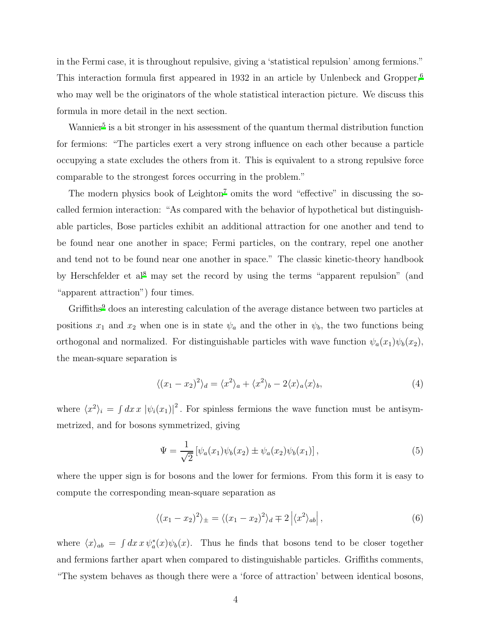in the Fermi case, it is throughout repulsive, giving a 'statistical repulsion' among fermions." This interaction formula first appeared in 1932 in an article by Unlenbeck and Gropper,[6](#page-20-4) who may well be the originators of the whole statistical interaction picture. We discuss this formula in more detail in the next section.

Wannier<sup>[5](#page-20-5)</sup> is a bit stronger in his assessment of the quantum thermal distribution function for fermions: "The particles exert a very strong influence on each other because a particle occupying a state excludes the others from it. This is equivalent to a strong repulsive force comparable to the strongest forces occurring in the problem."

The modern physics book of Leighton<sup>[7](#page-20-6)</sup> omits the word "effective" in discussing the socalled fermion interaction: "As compared with the behavior of hypothetical but distinguishable particles, Bose particles exhibit an additional attraction for one another and tend to be found near one another in space; Fermi particles, on the contrary, repel one another and tend not to be found near one another in space." The classic kinetic-theory handbook by Herschfelder et al<sup>[8](#page-20-7)</sup> may set the record by using the terms "apparent repulsion" (and "apparent attraction") four times.

Griffiths<sup>[9](#page-20-8)</sup> does an interesting calculation of the average distance between two particles at positions  $x_1$  and  $x_2$  when one is in state  $\psi_a$  and the other in  $\psi_b$ , the two functions being orthogonal and normalized. For distinguishable particles with wave function  $\psi_a(x_1)\psi_b(x_2)$ , the mean-square separation is

$$
\langle (x_1 - x_2)^2 \rangle_d = \langle x^2 \rangle_a + \langle x^2 \rangle_b - 2 \langle x \rangle_a \langle x \rangle_b, \tag{4}
$$

<span id="page-3-0"></span>where  $\langle x^2 \rangle_i = \int dx \, x \, |\psi_i(x_1)|^2$ . For spinless fermions the wave function must be antisymmetrized, and for bosons symmetrized, giving

$$
\Psi = \frac{1}{\sqrt{2}} \left[ \psi_a(x_1) \psi_b(x_2) \pm \psi_a(x_2) \psi_b(x_1) \right],\tag{5}
$$

where the upper sign is for bosons and the lower for fermions. From this form it is easy to compute the corresponding mean-square separation as

$$
\langle (x_1 - x_2)^2 \rangle_{\pm} = \langle (x_1 - x_2)^2 \rangle_d \mp 2 \left| \langle x^2 \rangle_{ab} \right|,\tag{6}
$$

where  $\langle x \rangle_{ab} = \int dx \, x \, \psi_a^*(x) \psi_b(x)$ . Thus he finds that bosons tend to be closer together and fermions farther apart when compared to distinguishable particles. Griffiths comments, "The system behaves as though there were a 'force of attraction' between identical bosons,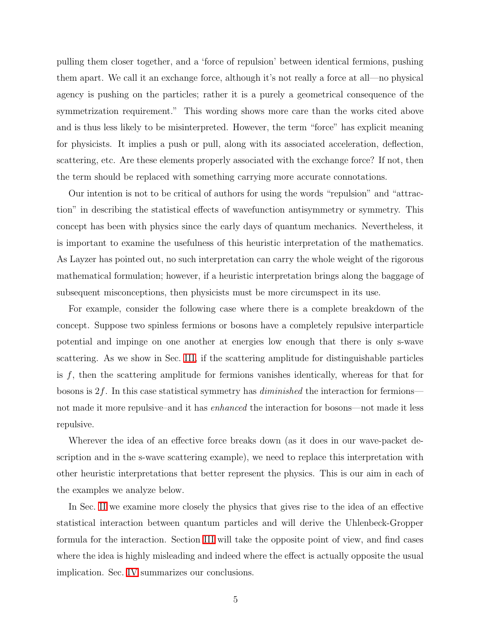pulling them closer together, and a 'force of repulsion' between identical fermions, pushing them apart. We call it an exchange force, although it's not really a force at all—no physical agency is pushing on the particles; rather it is a purely a geometrical consequence of the symmetrization requirement." This wording shows more care than the works cited above and is thus less likely to be misinterpreted. However, the term "force" has explicit meaning for physicists. It implies a push or pull, along with its associated acceleration, deflection, scattering, etc. Are these elements properly associated with the exchange force? If not, then the term should be replaced with something carrying more accurate connotations.

Our intention is not to be critical of authors for using the words "repulsion" and "attraction" in describing the statistical effects of wavefunction antisymmetry or symmetry. This concept has been with physics since the early days of quantum mechanics. Nevertheless, it is important to examine the usefulness of this heuristic interpretation of the mathematics. As Layzer has pointed out, no such interpretation can carry the whole weight of the rigorous mathematical formulation; however, if a heuristic interpretation brings along the baggage of subsequent misconceptions, then physicists must be more circumspect in its use.

For example, consider the following case where there is a complete breakdown of the concept. Suppose two spinless fermions or bosons have a completely repulsive interparticle potential and impinge on one another at energies low enough that there is only s-wave scattering. As we show in Sec. [III,](#page-13-0) if the scattering amplitude for distinguishable particles is  $f$ , then the scattering amplitude for fermions vanishes identically, whereas for that for bosons is  $2f$ . In this case statistical symmetry has *diminished* the interaction for fermions not made it more repulsive–and it has enhanced the interaction for bosons—not made it less repulsive.

Wherever the idea of an effective force breaks down (as it does in our wave-packet description and in the s-wave scattering example), we need to replace this interpretation with other heuristic interpretations that better represent the physics. This is our aim in each of the examples we analyze below.

In Sec. [II](#page-5-0) we examine more closely the physics that gives rise to the idea of an effective statistical interaction between quantum particles and will derive the Uhlenbeck-Gropper formula for the interaction. Section [III](#page-13-0) will take the opposite point of view, and find cases where the idea is highly misleading and indeed where the effect is actually opposite the usual implication. Sec. [IV](#page-18-0) summarizes our conclusions.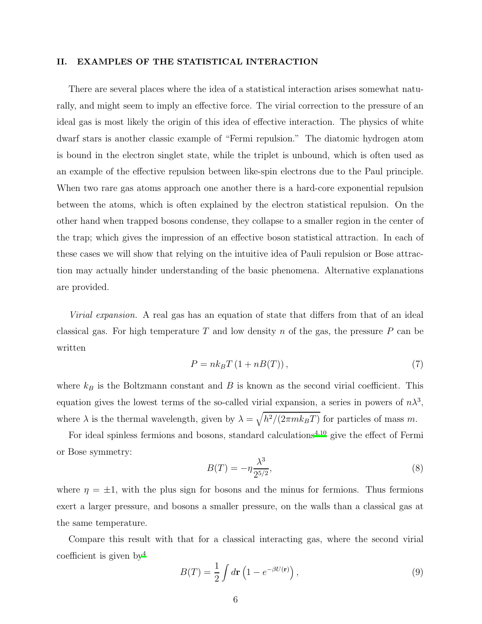#### <span id="page-5-0"></span>II. EXAMPLES OF THE STATISTICAL INTERACTION

There are several places where the idea of a statistical interaction arises somewhat naturally, and might seem to imply an effective force. The virial correction to the pressure of an ideal gas is most likely the origin of this idea of effective interaction. The physics of white dwarf stars is another classic example of "Fermi repulsion." The diatomic hydrogen atom is bound in the electron singlet state, while the triplet is unbound, which is often used as an example of the effective repulsion between like-spin electrons due to the Paul principle. When two rare gas atoms approach one another there is a hard-core exponential repulsion between the atoms, which is often explained by the electron statistical repulsion. On the other hand when trapped bosons condense, they collapse to a smaller region in the center of the trap; which gives the impression of an effective boson statistical attraction. In each of these cases we will show that relying on the intuitive idea of Pauli repulsion or Bose attraction may actually hinder understanding of the basic phenomena. Alternative explanations are provided.

Virial expansion. A real gas has an equation of state that differs from that of an ideal classical gas. For high temperature  $T$  and low density  $n$  of the gas, the pressure  $P$  can be written

$$
P = nk_B T (1 + nB(T)),
$$
\n<sup>(7)</sup>

where  $k_B$  is the Boltzmann constant and B is known as the second virial coefficient. This equation gives the lowest terms of the so-called virial expansion, a series in powers of  $n\lambda^3$ , where  $\lambda$  is the thermal wavelength, given by  $\lambda = \sqrt{h^2/(2\pi mk_BT)}$  for particles of mass m.

For ideal spinless fermions and bosons, standard calculations<sup> $4,10$  $4,10$ </sup> give the effect of Fermi or Bose symmetry:

<span id="page-5-2"></span>
$$
B(T) = -\eta \frac{\lambda^3}{2^{5/2}},
$$
\n(8)

where  $\eta = \pm 1$ , with the plus sign for bosons and the minus for fermions. Thus fermions exert a larger pressure, and bosons a smaller pressure, on the walls than a classical gas at the same temperature.

Compare this result with that for a classical interacting gas, where the second virial coefficient is given by  $4$ 

<span id="page-5-1"></span>
$$
B(T) = \frac{1}{2} \int d\mathbf{r} \left( 1 - e^{-\beta U(\mathbf{r})} \right),\tag{9}
$$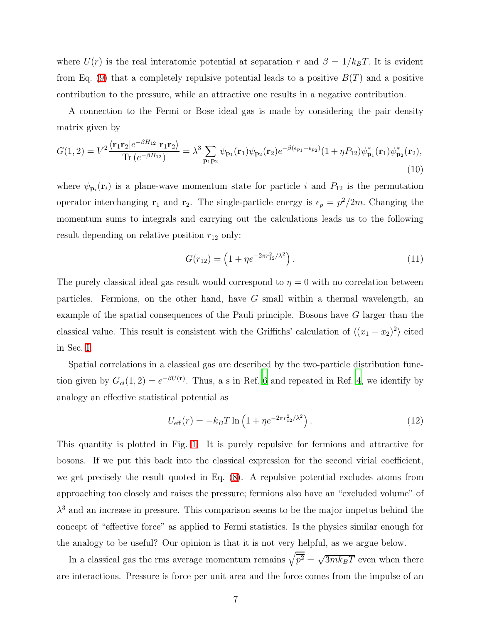where  $U(r)$  is the real interatomic potential at separation r and  $\beta = 1/k_BT$ . It is evident from Eq. [\(9\)](#page-5-1) that a completely repulsive potential leads to a positive  $B(T)$  and a positive contribution to the pressure, while an attractive one results in a negative contribution.

<span id="page-6-1"></span>A connection to the Fermi or Bose ideal gas is made by considering the pair density matrix given by

$$
G(1,2) = V^2 \frac{\langle \mathbf{r}_1 \mathbf{r}_2 | e^{-\beta H_{12}} | \mathbf{r}_1 \mathbf{r}_2 \rangle}{\text{Tr}\left(e^{-\beta H_{12}}\right)} = \lambda^3 \sum_{\mathbf{p}_1 \mathbf{p}_2} \psi_{\mathbf{p}_1}(\mathbf{r}_1) \psi_{\mathbf{p}_2}(\mathbf{r}_2) e^{-\beta(\epsilon_{p_1} + \epsilon_{p_2})} (1 + \eta P_{12}) \psi_{\mathbf{p}_1}^*(\mathbf{r}_1) \psi_{\mathbf{p}_2}^*(\mathbf{r}_2),
$$
\n(10)

where  $\psi_{\mathbf{p}_i}(\mathbf{r}_i)$  is a plane-wave momentum state for particle i and  $P_{12}$  is the permutation operator interchanging  $\mathbf{r}_1$  and  $\mathbf{r}_2$ . The single-particle energy is  $\epsilon_p = p^2/2m$ . Changing the momentum sums to integrals and carrying out the calculations leads us to the following result depending on relative position  $r_{12}$  only:

<span id="page-6-0"></span>
$$
G(r_{12}) = \left(1 + \eta e^{-2\pi r_{12}^2/\lambda^2}\right). \tag{11}
$$

The purely classical ideal gas result would correspond to  $\eta = 0$  with no correlation between particles. Fermions, on the other hand, have  $G$  small within a thermal wavelength, an example of the spatial consequences of the Pauli principle. Bosons have G larger than the classical value. This result is consistent with the Griffiths' calculation of  $\langle (x_1 - x_2)^2 \rangle$  cited in Sec. [I.](#page-1-0)

Spatial correlations in a classical gas are described by the two-particle distribution function given by  $G_{cl}(1,2) = e^{-\beta U(\mathbf{r})}$ . Thus, a s in Ref. [6](#page-20-4) and repeated in Ref. [4,](#page-20-3) we identify by analogy an effective statistical potential as

<span id="page-6-2"></span>
$$
U_{\text{eff}}(r) = -k_B T \ln \left( 1 + \eta e^{-2\pi r_{12}^2 / \lambda^2} \right). \tag{12}
$$

This quantity is plotted in Fig. [1.](#page-23-0) It is purely repulsive for fermions and attractive for bosons. If we put this back into the classical expression for the second virial coefficient, we get precisely the result quoted in Eq. [\(8\)](#page-5-2). A repulsive potential excludes atoms from approaching too closely and raises the pressure; fermions also have an "excluded volume" of  $\lambda^3$  and an increase in pressure. This comparison seems to be the major impetus behind the concept of "effective force" as applied to Fermi statistics. Is the physics similar enough for the analogy to be useful? Our opinion is that it is not very helpful, as we argue below.

In a classical gas the rms average momentum remains  $\sqrt{\overline{p^2}} = \sqrt{3mk_BT}$  even when there are interactions. Pressure is force per unit area and the force comes from the impulse of an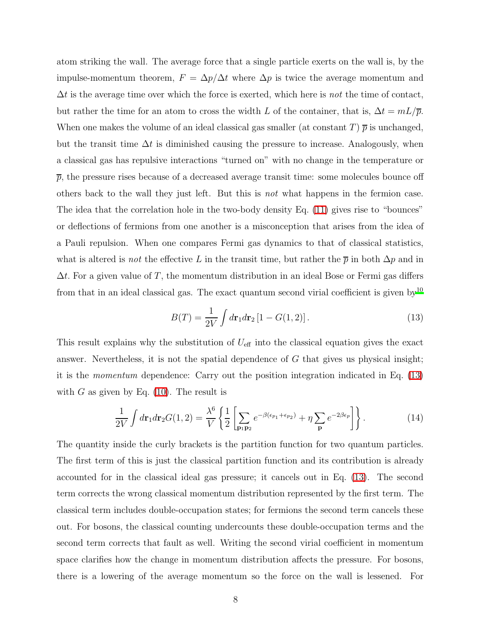atom striking the wall. The average force that a single particle exerts on the wall is, by the impulse-momentum theorem,  $F = \Delta p / \Delta t$  where  $\Delta p$  is twice the average momentum and  $\Delta t$  is the average time over which the force is exerted, which here is *not* the time of contact, but rather the time for an atom to cross the width L of the container, that is,  $\Delta t = mL/\overline{p}$ . When one makes the volume of an ideal classical gas smaller (at constant T)  $\bar{p}$  is unchanged, but the transit time  $\Delta t$  is diminished causing the pressure to increase. Analogously, when a classical gas has repulsive interactions "turned on" with no change in the temperature or  $\bar{p}$ , the pressure rises because of a decreased average transit time: some molecules bounce off others back to the wall they just left. But this is not what happens in the fermion case. The idea that the correlation hole in the two-body density Eq. [\(11\)](#page-6-0) gives rise to "bounces" or deflections of fermions from one another is a misconception that arises from the idea of a Pauli repulsion. When one compares Fermi gas dynamics to that of classical statistics, what is altered is *not* the effective L in the transit time, but rather the  $\bar{p}$  in both  $\Delta p$  and in  $\Delta t$ . For a given value of T, the momentum distribution in an ideal Bose or Fermi gas differs from that in an ideal classical gas. The exact quantum second virial coefficient is given by<sup>[10](#page-20-9)</sup>

<span id="page-7-0"></span>
$$
B(T) = \frac{1}{2V} \int d\mathbf{r}_1 d\mathbf{r}_2 [1 - G(1, 2)].
$$
 (13)

This result explains why the substitution of  $U_{\text{eff}}$  into the classical equation gives the exact answer. Nevertheless, it is not the spatial dependence of G that gives us physical insight; it is the momentum dependence: Carry out the position integration indicated in Eq. [\(13\)](#page-7-0) with G as given by Eq.  $(10)$ . The result is

$$
\frac{1}{2V} \int d\mathbf{r}_1 d\mathbf{r}_2 G(1,2) = \frac{\lambda^6}{V} \left\{ \frac{1}{2} \left[ \sum_{\mathbf{p}_1 \mathbf{p}_2} e^{-\beta(\epsilon_{p_1} + \epsilon_{p_2})} + \eta \sum_{\mathbf{p}} e^{-2\beta \epsilon_p} \right] \right\}.
$$
 (14)

The quantity inside the curly brackets is the partition function for two quantum particles. The first term of this is just the classical partition function and its contribution is already accounted for in the classical ideal gas pressure; it cancels out in Eq. [\(13\)](#page-7-0). The second term corrects the wrong classical momentum distribution represented by the first term. The classical term includes double-occupation states; for fermions the second term cancels these out. For bosons, the classical counting undercounts these double-occupation terms and the second term corrects that fault as well. Writing the second virial coefficient in momentum space clarifies how the change in momentum distribution affects the pressure. For bosons, there is a lowering of the average momentum so the force on the wall is lessened. For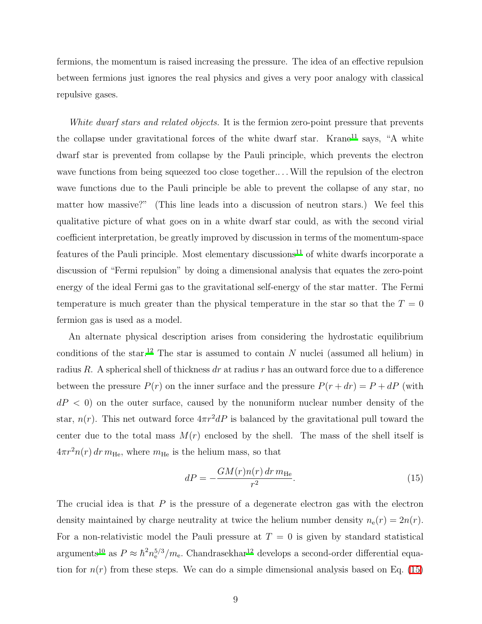fermions, the momentum is raised increasing the pressure. The idea of an effective repulsion between fermions just ignores the real physics and gives a very poor analogy with classical repulsive gases.

White dwarf stars and related objects. It is the fermion zero-point pressure that prevents the collapse under gravitational forces of the white dwarf star. Krane<sup>[11](#page-20-10)</sup> says, "A white dwarf star is prevented from collapse by the Pauli principle, which prevents the electron wave functions from being squeezed too close together.... Will the repulsion of the electron wave functions due to the Pauli principle be able to prevent the collapse of any star, no matter how massive?" (This line leads into a discussion of neutron stars.) We feel this qualitative picture of what goes on in a white dwarf star could, as with the second virial coefficient interpretation, be greatly improved by discussion in terms of the momentum-space features of the Pauli principle. Most elementary discussions<sup>[11](#page-20-10)</sup> of white dwarfs incorporate a discussion of "Fermi repulsion" by doing a dimensional analysis that equates the zero-point energy of the ideal Fermi gas to the gravitational self-energy of the star matter. The Fermi temperature is much greater than the physical temperature in the star so that the  $T = 0$ fermion gas is used as a model.

An alternate physical description arises from considering the hydrostatic equilibrium conditions of the star.<sup>[12](#page-20-11)</sup> The star is assumed to contain  $N$  nuclei (assumed all helium) in radius R. A spherical shell of thickness dr at radius r has an outward force due to a difference between the pressure  $P(r)$  on the inner surface and the pressure  $P(r + dr) = P + dP$  (with  $dP < 0$ ) on the outer surface, caused by the nonuniform nuclear number density of the star,  $n(r)$ . This net outward force  $4\pi r^2 dP$  is balanced by the gravitational pull toward the center due to the total mass  $M(r)$  enclosed by the shell. The mass of the shell itself is  $4\pi r^2 n(r) dr m_{\text{He}}$ , where  $m_{\text{He}}$  is the helium mass, so that

<span id="page-8-0"></span>
$$
dP = -\frac{GM(r)n(r) dr m_{\text{He}}}{r^2}.
$$
\n(15)

The crucial idea is that  $P$  is the pressure of a degenerate electron gas with the electron density maintained by charge neutrality at twice the helium number density  $n_e(r) = 2n(r)$ . For a non-relativistic model the Pauli pressure at  $T = 0$  is given by standard statistical arguments<sup>[10](#page-20-9)</sup> as  $P \approx \hbar^2 n_e^{5/3} / m_e$ . Chandrasekhar<sup>[12](#page-20-11)</sup> develops a second-order differential equation for  $n(r)$  from these steps. We can do a simple dimensional analysis based on Eq. [\(15\)](#page-8-0)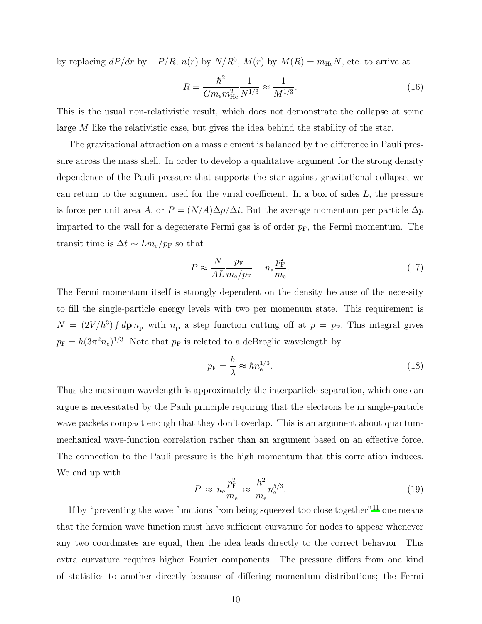by replacing  $dP/dr$  by  $-P/R$ ,  $n(r)$  by  $N/R^3$ ,  $M(r)$  by  $M(R) = m_{\text{He}}N$ , etc. to arrive at

$$
R = \frac{\hbar^2}{Gm_{\rm e}m_{\rm He}^2} \frac{1}{N^{1/3}} \approx \frac{1}{M^{1/3}}.
$$
\n(16)

This is the usual non-relativistic result, which does not demonstrate the collapse at some large  $M$  like the relativistic case, but gives the idea behind the stability of the star.

The gravitational attraction on a mass element is balanced by the difference in Pauli pressure across the mass shell. In order to develop a qualitative argument for the strong density dependence of the Pauli pressure that supports the star against gravitational collapse, we can return to the argument used for the virial coefficient. In a box of sides  $L$ , the pressure is force per unit area A, or  $P = (N/A)\Delta p/\Delta t$ . But the average momentum per particle  $\Delta p$ imparted to the wall for a degenerate Fermi gas is of order  $p_F$ , the Fermi momentum. The transit time is  $\Delta t \sim L m_e / p_F$  so that

$$
P \approx \frac{N}{AL} \frac{p_{\rm F}}{m_{\rm e}/p_{\rm F}} = n_{\rm e} \frac{p_{\rm F}^2}{m_{\rm e}}.\tag{17}
$$

The Fermi momentum itself is strongly dependent on the density because of the necessity to fill the single-particle energy levels with two per momenum state. This requirement is  $N = (2V/h^3) \int d\mathbf{p} \, n_{\mathbf{p}}$  with  $n_{\mathbf{p}}$  a step function cutting off at  $p = p_{\text{F}}$ . This integral gives  $p_{\rm F} = \hbar (3\pi^2 n_{\rm e})^{1/3}$ . Note that  $p_{\rm F}$  is related to a deBroglie wavelength by

$$
p_{\rm F} = \frac{\hbar}{\lambda} \approx \hbar n_{\rm e}^{1/3}.
$$
 (18)

Thus the maximum wavelength is approximately the interparticle separation, which one can argue is necessitated by the Pauli principle requiring that the electrons be in single-particle wave packets compact enough that they don't overlap. This is an argument about quantummechanical wave-function correlation rather than an argument based on an effective force. The connection to the Pauli pressure is the high momentum that this correlation induces. We end up with

$$
P \approx n_{\rm e} \frac{p_{\rm F}^2}{m_{\rm e}} \approx \frac{\hbar^2}{m_{\rm e}} n_{\rm e}^{5/3}.
$$
\n(19)

If by "preventing the wave functions from being squeezed too close together"<sup>[11](#page-20-10)</sup> one means that the fermion wave function must have sufficient curvature for nodes to appear whenever any two coordinates are equal, then the idea leads directly to the correct behavior. This extra curvature requires higher Fourier components. The pressure differs from one kind of statistics to another directly because of differing momentum distributions; the Fermi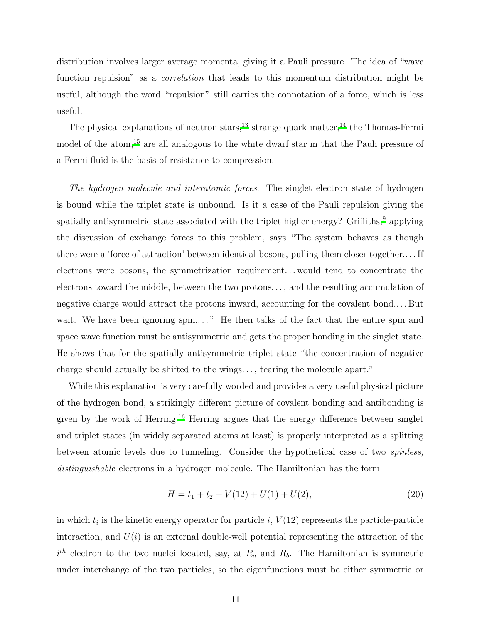distribution involves larger average momenta, giving it a Pauli pressure. The idea of "wave function repulsion" as a *correlation* that leads to this momentum distribution might be useful, although the word "repulsion" still carries the connotation of a force, which is less useful.

The physical explanations of neutron stars,<sup>[13](#page-20-12)</sup> strange quark matter,<sup>[14](#page-20-13)</sup> the Thomas-Fermi model of the atom,<sup>[15](#page-20-14)</sup> are all analogous to the white dwarf star in that the Pauli pressure of a Fermi fluid is the basis of resistance to compression.

The hydrogen molecule and interatomic forces. The singlet electron state of hydrogen is bound while the triplet state is unbound. Is it a case of the Pauli repulsion giving the spatially antisymmetric state associated with the triplet higher energy? Griffiths,  $9$  applying the discussion of exchange forces to this problem, says "The system behaves as though there were a 'force of attraction' between identical bosons, pulling them closer together.. . . If electrons were bosons, the symmetrization requirement. . . would tend to concentrate the electrons toward the middle, between the two protons. . . , and the resulting accumulation of negative charge would attract the protons inward, accounting for the covalent bond.. . . But wait. We have been ignoring spin...." He then talks of the fact that the entire spin and space wave function must be antisymmetric and gets the proper bonding in the singlet state. He shows that for the spatially antisymmetric triplet state "the concentration of negative charge should actually be shifted to the wings. . . , tearing the molecule apart."

While this explanation is very carefully worded and provides a very useful physical picture of the hydrogen bond, a strikingly different picture of covalent bonding and antibonding is given by the work of Herring.[16](#page-20-15) Herring argues that the energy difference between singlet and triplet states (in widely separated atoms at least) is properly interpreted as a splitting between atomic levels due to tunneling. Consider the hypothetical case of two spinless, distinguishable electrons in a hydrogen molecule. The Hamiltonian has the form

$$
H = t_1 + t_2 + V(12) + U(1) + U(2),
$$
\n(20)

in which  $t_i$  is the kinetic energy operator for particle  $i$ ,  $V(12)$  represents the particle-particle interaction, and  $U(i)$  is an external double-well potential representing the attraction of the  $i<sup>th</sup>$  electron to the two nuclei located, say, at  $R_a$  and  $R_b$ . The Hamiltonian is symmetric under interchange of the two particles, so the eigenfunctions must be either symmetric or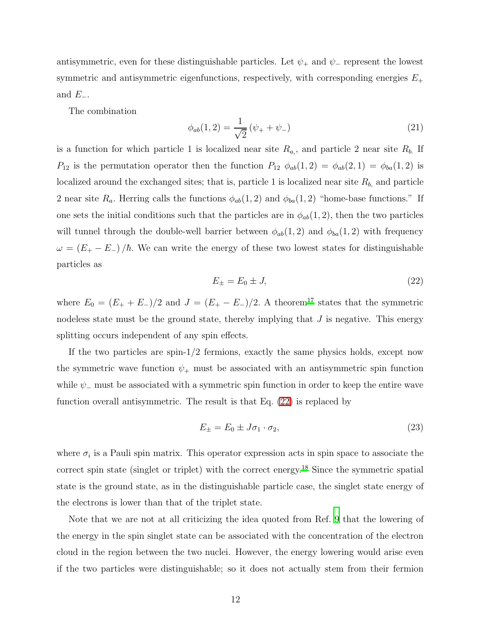antisymmetric, even for these distinguishable particles. Let  $\psi_+$  and  $\psi_-$  represent the lowest symmetric and antisymmetric eigenfunctions, respectively, with corresponding energies  $E_\pm$ and  $E_-\$ .

The combination

$$
\phi_{ab}(1,2) = \frac{1}{\sqrt{2}} \left( \psi_+ + \psi_- \right) \tag{21}
$$

is a function for which particle 1 is localized near site  $R_{a}$ , and particle 2 near site  $R_{b}$ . If  $P_{12}$  is the permutation operator then the function  $P_{12}$   $\phi_{ab}(1,2) = \phi_{ab}(2,1) = \phi_{ba}(1,2)$  is localized around the exchanged sites; that is, particle 1 is localized near site  $R_{b}$ , and particle 2 near site  $R_a$ . Herring calls the functions  $\phi_{ab}(1,2)$  and  $\phi_{ba}(1,2)$  "home-base functions." If one sets the initial conditions such that the particles are in  $\phi_{ab}(1, 2)$ , then the two particles will tunnel through the double-well barrier between  $\phi_{ab}(1,2)$  and  $\phi_{ba}(1,2)$  with frequency  $\omega = (E_{+} - E_{-})/\hbar$ . We can write the energy of these two lowest states for distinguishable particles as

<span id="page-11-0"></span>
$$
E_{\pm} = E_0 \pm J,\tag{22}
$$

where  $E_0 = (E_+ + E_-)/2$  and  $J = (E_+ - E_-)/2$ . A theorem<sup>[17](#page-20-16)</sup> states that the symmetric nodeless state must be the ground state, thereby implying that  $J$  is negative. This energy splitting occurs independent of any spin effects.

If the two particles are spin-1/2 fermions, exactly the same physics holds, except now the symmetric wave function  $\psi_+$  must be associated with an antisymmetric spin function while  $\psi$ <sub>−</sub> must be associated with a symmetric spin function in order to keep the entire wave function overall antisymmetric. The result is that Eq. [\(22\)](#page-11-0) is replaced by

<span id="page-11-1"></span>
$$
E_{\pm} = E_0 \pm J\sigma_1 \cdot \sigma_2,\tag{23}
$$

where  $\sigma_i$  is a Pauli spin matrix. This operator expression acts in spin space to associate the correct spin state (singlet or triplet) with the correct energy.<sup>[18](#page-21-0)</sup> Since the symmetric spatial state is the ground state, as in the distinguishable particle case, the singlet state energy of the electrons is lower than that of the triplet state.

Note that we are not at all criticizing the idea quoted from Ref. [9](#page-20-8) that the lowering of the energy in the spin singlet state can be associated with the concentration of the electron cloud in the region between the two nuclei. However, the energy lowering would arise even if the two particles were distinguishable; so it does not actually stem from their fermion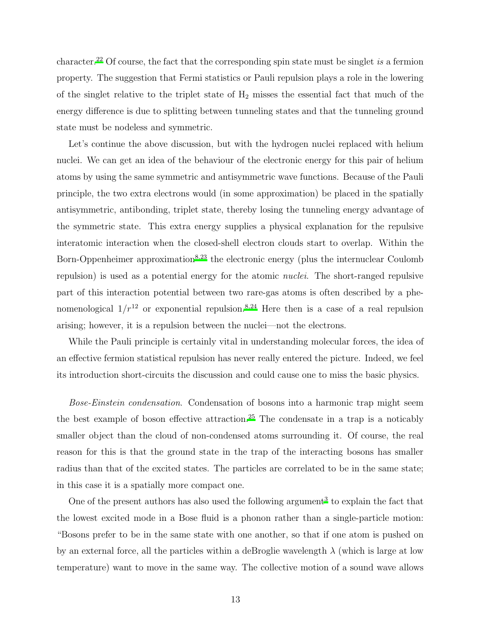character.<sup>[22](#page-21-1)</sup> Of course, the fact that the corresponding spin state must be singlet is a fermion property. The suggestion that Fermi statistics or Pauli repulsion plays a role in the lowering of the singlet relative to the triplet state of  $H_2$  misses the essential fact that much of the energy difference is due to splitting between tunneling states and that the tunneling ground state must be nodeless and symmetric.

Let's continue the above discussion, but with the hydrogen nuclei replaced with helium nuclei. We can get an idea of the behaviour of the electronic energy for this pair of helium atoms by using the same symmetric and antisymmetric wave functions. Because of the Pauli principle, the two extra electrons would (in some approximation) be placed in the spatially antisymmetric, antibonding, triplet state, thereby losing the tunneling energy advantage of the symmetric state. This extra energy supplies a physical explanation for the repulsive interatomic interaction when the closed-shell electron clouds start to overlap. Within the Born-Oppenheimer approximation<sup>[8](#page-20-7)[,23](#page-21-2)</sup> the electronic energy (plus the internuclear Coulomb repulsion) is used as a potential energy for the atomic nuclei. The short-ranged repulsive part of this interaction potential between two rare-gas atoms is often described by a phenomenological  $1/r^{12}$  or exponential repulsion.<sup>[8](#page-20-7)[,24](#page-21-3)</sup> Here then is a case of a real repulsion arising; however, it is a repulsion between the nuclei—not the electrons.

While the Pauli principle is certainly vital in understanding molecular forces, the idea of an effective fermion statistical repulsion has never really entered the picture. Indeed, we feel its introduction short-circuits the discussion and could cause one to miss the basic physics.

Bose-Einstein condensation. Condensation of bosons into a harmonic trap might seem the best example of boson effective attraction.[25](#page-21-4) The condensate in a trap is a noticably smaller object than the cloud of non-condensed atoms surrounding it. Of course, the real reason for this is that the ground state in the trap of the interacting bosons has smaller radius than that of the excited states. The particles are correlated to be in the same state; in this case it is a spatially more compact one.

One of the present authors has also used the following argument<sup>[3](#page-20-2)</sup> to explain the fact that the lowest excited mode in a Bose fluid is a phonon rather than a single-particle motion: "Bosons prefer to be in the same state with one another, so that if one atom is pushed on by an external force, all the particles within a deBroglie wavelength  $\lambda$  (which is large at low temperature) want to move in the same way. The collective motion of a sound wave allows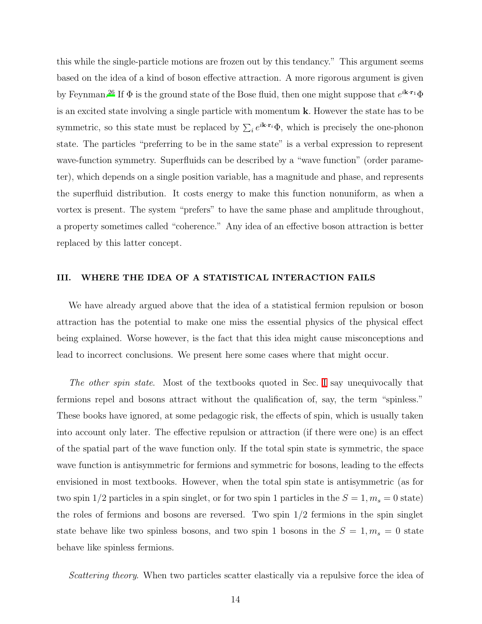this while the single-particle motions are frozen out by this tendancy." This argument seems based on the idea of a kind of boson effective attraction. A more rigorous argument is given by Feynman.<sup>[26](#page-21-5)</sup> If  $\Phi$  is the ground state of the Bose fluid, then one might suppose that  $e^{i\mathbf{k}\cdot\mathbf{r}_1}\Phi$ is an excited state involving a single particle with momentum k. However the state has to be symmetric, so this state must be replaced by  $\sum_i e^{i\mathbf{k}\cdot\mathbf{r}_i}\Phi$ , which is precisely the one-phonon state. The particles "preferring to be in the same state" is a verbal expression to represent wave-function symmetry. Superfluids can be described by a "wave function" (order parameter), which depends on a single position variable, has a magnitude and phase, and represents the superfluid distribution. It costs energy to make this function nonuniform, as when a vortex is present. The system "prefers" to have the same phase and amplitude throughout, a property sometimes called "coherence." Any idea of an effective boson attraction is better replaced by this latter concept.

#### <span id="page-13-0"></span>III. WHERE THE IDEA OF A STATISTICAL INTERACTION FAILS

We have already argued above that the idea of a statistical fermion repulsion or boson attraction has the potential to make one miss the essential physics of the physical effect being explained. Worse however, is the fact that this idea might cause misconceptions and lead to incorrect conclusions. We present here some cases where that might occur.

The other spin state. Most of the textbooks quoted in Sec. [I](#page-1-0) say unequivocally that fermions repel and bosons attract without the qualification of, say, the term "spinless." These books have ignored, at some pedagogic risk, the effects of spin, which is usually taken into account only later. The effective repulsion or attraction (if there were one) is an effect of the spatial part of the wave function only. If the total spin state is symmetric, the space wave function is antisymmetric for fermions and symmetric for bosons, leading to the effects envisioned in most textbooks. However, when the total spin state is antisymmetric (as for two spin 1/2 particles in a spin singlet, or for two spin 1 particles in the  $S = 1, m_s = 0$  state) the roles of fermions and bosons are reversed. Two spin  $1/2$  fermions in the spin singlet state behave like two spinless bosons, and two spin 1 bosons in the  $S = 1, m_s = 0$  state behave like spinless fermions.

Scattering theory. When two particles scatter elastically via a repulsive force the idea of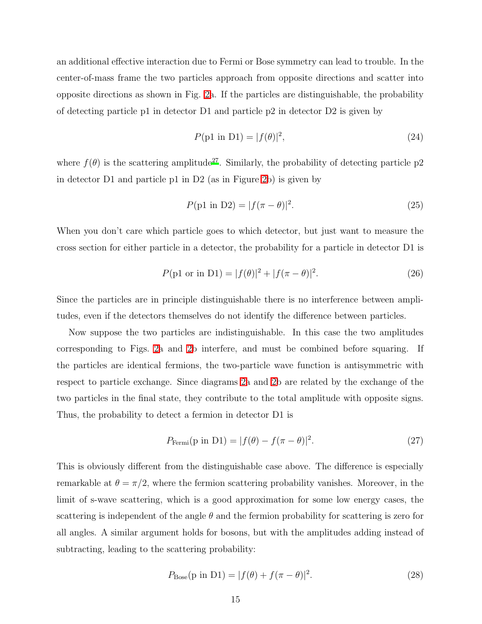an additional effective interaction due to Fermi or Bose symmetry can lead to trouble. In the center-of-mass frame the two particles approach from opposite directions and scatter into opposite directions as shown in Fig. [2a](#page-24-0). If the particles are distinguishable, the probability of detecting particle p1 in detector D1 and particle p2 in detector D2 is given by

$$
P(\text{p1 in D1}) = |f(\theta)|^2,
$$
\n(24)

where  $f(\theta)$  is the scattering amplitude<sup>[27](#page-21-6)</sup>. Similarly, the probability of detecting particle p2 in detector D1 and particle p1 in D2 (as in Figure [2b](#page-24-0)) is given by

$$
P(p1 \text{ in } D2) = |f(\pi - \theta)|^2. \tag{25}
$$

When you don't care which particle goes to which detector, but just want to measure the cross section for either particle in a detector, the probability for a particle in detector D1 is

$$
P(p1 \text{ or in D1}) = |f(\theta)|^2 + |f(\pi - \theta)|^2. \tag{26}
$$

Since the particles are in principle distinguishable there is no interference between amplitudes, even if the detectors themselves do not identify the difference between particles.

Now suppose the two particles are indistinguishable. In this case the two amplitudes corresponding to Figs. [2a](#page-24-0) and [2b](#page-24-0) interfere, and must be combined before squaring. If the particles are identical fermions, the two-particle wave function is antisymmetric with respect to particle exchange. Since diagrams [2a](#page-24-0) and [2b](#page-24-0) are related by the exchange of the two particles in the final state, they contribute to the total amplitude with opposite signs. Thus, the probability to detect a fermion in detector D1 is

$$
P_{\text{Fermi}}(\text{p in D1}) = |f(\theta) - f(\pi - \theta)|^2. \tag{27}
$$

This is obviously different from the distinguishable case above. The difference is especially remarkable at  $\theta = \pi/2$ , where the fermion scattering probability vanishes. Moreover, in the limit of s-wave scattering, which is a good approximation for some low energy cases, the scattering is independent of the angle  $\theta$  and the fermion probability for scattering is zero for all angles. A similar argument holds for bosons, but with the amplitudes adding instead of subtracting, leading to the scattering probability:

$$
P_{\text{Bose}}(\text{p in D1}) = |f(\theta) + f(\pi - \theta)|^2. \tag{28}
$$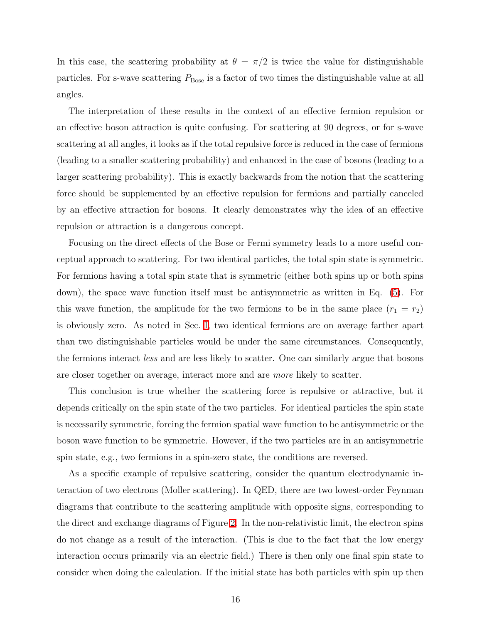In this case, the scattering probability at  $\theta = \pi/2$  is twice the value for distinguishable particles. For s-wave scattering  $P_{\text{Bose}}$  is a factor of two times the distinguishable value at all angles.

The interpretation of these results in the context of an effective fermion repulsion or an effective boson attraction is quite confusing. For scattering at 90 degrees, or for s-wave scattering at all angles, it looks as if the total repulsive force is reduced in the case of fermions (leading to a smaller scattering probability) and enhanced in the case of bosons (leading to a larger scattering probability). This is exactly backwards from the notion that the scattering force should be supplemented by an effective repulsion for fermions and partially canceled by an effective attraction for bosons. It clearly demonstrates why the idea of an effective repulsion or attraction is a dangerous concept.

Focusing on the direct effects of the Bose or Fermi symmetry leads to a more useful conceptual approach to scattering. For two identical particles, the total spin state is symmetric. For fermions having a total spin state that is symmetric (either both spins up or both spins down), the space wave function itself must be antisymmetric as written in Eq. [\(5\)](#page-3-0). For this wave function, the amplitude for the two fermions to be in the same place  $(r_1 = r_2)$ is obviously zero. As noted in Sec. [I,](#page-1-0) two identical fermions are on average farther apart than two distinguishable particles would be under the same circumstances. Consequently, the fermions interact less and are less likely to scatter. One can similarly argue that bosons are closer together on average, interact more and are more likely to scatter.

This conclusion is true whether the scattering force is repulsive or attractive, but it depends critically on the spin state of the two particles. For identical particles the spin state is necessarily symmetric, forcing the fermion spatial wave function to be antisymmetric or the boson wave function to be symmetric. However, if the two particles are in an antisymmetric spin state, e.g., two fermions in a spin-zero state, the conditions are reversed.

As a specific example of repulsive scattering, consider the quantum electrodynamic interaction of two electrons (Moller scattering). In QED, there are two lowest-order Feynman diagrams that contribute to the scattering amplitude with opposite signs, corresponding to the direct and exchange diagrams of Figure [2.](#page-24-0) In the non-relativistic limit, the electron spins do not change as a result of the interaction. (This is due to the fact that the low energy interaction occurs primarily via an electric field.) There is then only one final spin state to consider when doing the calculation. If the initial state has both particles with spin up then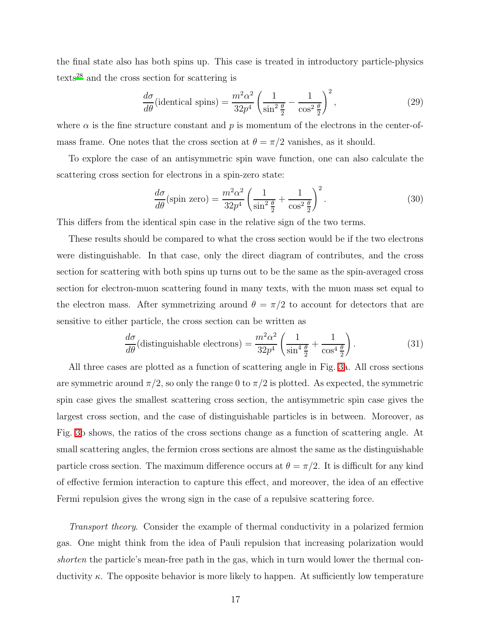the final state also has both spins up. This case is treated in introductory particle-physics texts[28](#page-21-7) and the cross section for scattering is

$$
\frac{d\sigma}{d\theta}(\text{identical spins}) = \frac{m^2\alpha^2}{32p^4} \left(\frac{1}{\sin^2\frac{\theta}{2}} - \frac{1}{\cos^2\frac{\theta}{2}}\right)^2,\tag{29}
$$

where  $\alpha$  is the fine structure constant and p is momentum of the electrons in the center-ofmass frame. One notes that the cross section at  $\theta = \pi/2$  vanishes, as it should.

To explore the case of an antisymmetric spin wave function, one can also calculate the scattering cross section for electrons in a spin-zero state:

$$
\frac{d\sigma}{d\theta}(\text{spin zero}) = \frac{m^2\alpha^2}{32p^4} \left(\frac{1}{\sin^2\frac{\theta}{2}} + \frac{1}{\cos^2\frac{\theta}{2}}\right)^2.
$$
\n(30)

This differs from the identical spin case in the relative sign of the two terms.

These results should be compared to what the cross section would be if the two electrons were distinguishable. In that case, only the direct diagram of contributes, and the cross section for scattering with both spins up turns out to be the same as the spin-averaged cross section for electron-muon scattering found in many texts, with the muon mass set equal to the electron mass. After symmetrizing around  $\theta = \pi/2$  to account for detectors that are sensitive to either particle, the cross section can be written as

$$
\frac{d\sigma}{d\theta} \text{(distinguishable electrons)} = \frac{m^2 \alpha^2}{32p^4} \left( \frac{1}{\sin^4 \frac{\theta}{2}} + \frac{1}{\cos^4 \frac{\theta}{2}} \right). \tag{31}
$$

All three cases are plotted as a function of scattering angle in Fig. [3a](#page-25-0). All cross sections are symmetric around  $\pi/2$ , so only the range 0 to  $\pi/2$  is plotted. As expected, the symmetric spin case gives the smallest scattering cross section, the antisymmetric spin case gives the largest cross section, and the case of distinguishable particles is in between. Moreover, as Fig. [3b](#page-25-0) shows, the ratios of the cross sections change as a function of scattering angle. At small scattering angles, the fermion cross sections are almost the same as the distinguishable particle cross section. The maximum difference occurs at  $\theta = \pi/2$ . It is difficult for any kind of effective fermion interaction to capture this effect, and moreover, the idea of an effective Fermi repulsion gives the wrong sign in the case of a repulsive scattering force.

Transport theory. Consider the example of thermal conductivity in a polarized fermion gas. One might think from the idea of Pauli repulsion that increasing polarization would shorten the particle's mean-free path in the gas, which in turn would lower the thermal conductivity  $\kappa$ . The opposite behavior is more likely to happen. At sufficiently low temperature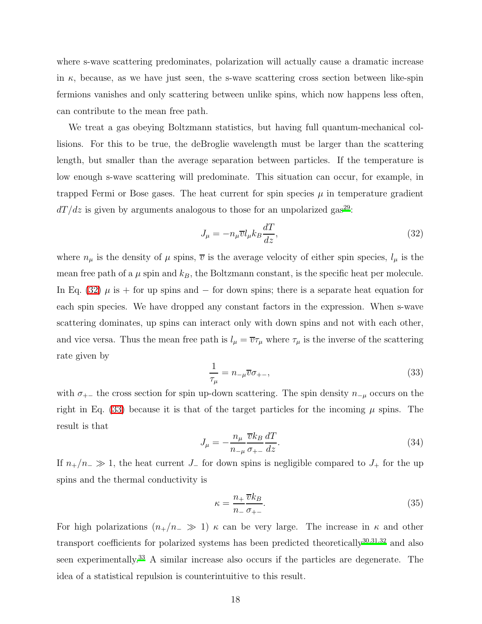where s-wave scattering predominates, polarization will actually cause a dramatic increase in  $\kappa$ , because, as we have just seen, the s-wave scattering cross section between like-spin fermions vanishes and only scattering between unlike spins, which now happens less often, can contribute to the mean free path.

We treat a gas obeying Boltzmann statistics, but having full quantum-mechanical collisions. For this to be true, the deBroglie wavelength must be larger than the scattering length, but smaller than the average separation between particles. If the temperature is low enough s-wave scattering will predominate. This situation can occur, for example, in trapped Fermi or Bose gases. The heat current for spin species  $\mu$  in temperature gradient  $dT/dz$  is given by arguments analogous to those for an unpolarized gas<sup>[29](#page-21-8)</sup>:

<span id="page-17-0"></span>
$$
J_{\mu} = -n_{\mu}\overline{v}l_{\mu}k_{B}\frac{dT}{dz},\tag{32}
$$

where  $n_{\mu}$  is the density of  $\mu$  spins,  $\overline{v}$  is the average velocity of either spin species,  $l_{\mu}$  is the mean free path of a  $\mu$  spin and  $k_B$ , the Boltzmann constant, is the specific heat per molecule. In Eq. [\(32\)](#page-17-0)  $\mu$  is + for up spins and – for down spins; there is a separate heat equation for each spin species. We have dropped any constant factors in the expression. When s-wave scattering dominates, up spins can interact only with down spins and not with each other, and vice versa. Thus the mean free path is  $l_{\mu} = \overline{v}\tau_{\mu}$  where  $\tau_{\mu}$  is the inverse of the scattering rate given by

<span id="page-17-1"></span>
$$
\frac{1}{\tau_{\mu}} = n_{-\mu}\overline{v}\sigma_{+-},\tag{33}
$$

with  $\sigma_{+-}$  the cross section for spin up-down scattering. The spin density  $n_{-\mu}$  occurs on the right in Eq. [\(33\)](#page-17-1) because it is that of the target particles for the incoming  $\mu$  spins. The result is that

$$
J_{\mu} = -\frac{n_{\mu}}{n_{-\mu}} \frac{\overline{v}k_B}{\sigma_{+-}} \frac{dT}{dz}.
$$
\n(34)

If  $n_{+}/n_{-} \gg 1$ , the heat current  $J_{-}$  for down spins is negligible compared to  $J_{+}$  for the up spins and the thermal conductivity is

$$
\kappa = \frac{n_+}{n_-} \frac{\overline{v}k_B}{\sigma_{+-}}.\tag{35}
$$

For high polarizations  $(n_{+}/n_{-} \gg 1) \kappa$  can be very large. The increase in  $\kappa$  and other transport coefficients for polarized systems has been predicted theoretically  $30,31,32$  $30,31,32$  $30,31,32$  and also seen experimentally.[33](#page-22-1) A similar increase also occurs if the particles are degenerate. The idea of a statistical repulsion is counterintuitive to this result.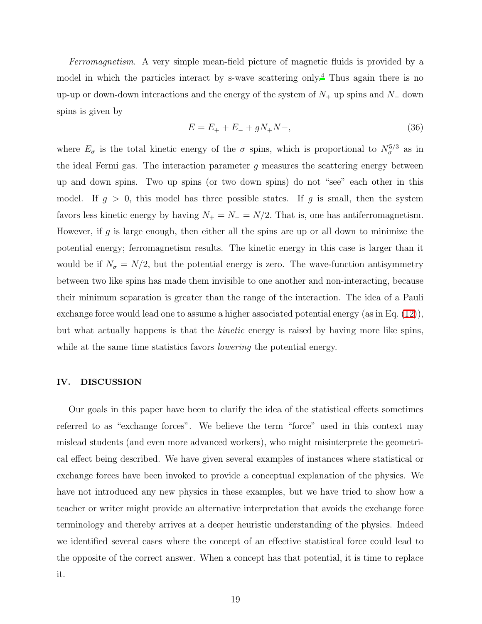Ferromagnetism. A very simple mean-field picture of magnetic fluids is provided by a model in which the particles interact by s-wave scattering only.[4](#page-20-3) Thus again there is no up-up or down-down interactions and the energy of the system of  $N_+$  up spins and  $N_-\,$  down spins is given by

$$
E = E_{+} + E_{-} + gN_{+}N_{-}, \tag{36}
$$

where  $E_{\sigma}$  is the total kinetic energy of the  $\sigma$  spins, which is proportional to  $N_{\sigma}^{5/3}$  as in the ideal Fermi gas. The interaction parameter  $q$  measures the scattering energy between up and down spins. Two up spins (or two down spins) do not "see" each other in this model. If  $g > 0$ , this model has three possible states. If g is small, then the system favors less kinetic energy by having  $N_+ = N_- = N/2$ . That is, one has antiferromagnetism. However, if g is large enough, then either all the spins are up or all down to minimize the potential energy; ferromagnetism results. The kinetic energy in this case is larger than it would be if  $N_{\sigma} = N/2$ , but the potential energy is zero. The wave-function antisymmetry between two like spins has made them invisible to one another and non-interacting, because their minimum separation is greater than the range of the interaction. The idea of a Pauli exchange force would lead one to assume a higher associated potential energy (as in Eq. [\(12\)](#page-6-2)), but what actually happens is that the kinetic energy is raised by having more like spins, while at the same time statistics favors *lowering* the potential energy.

### <span id="page-18-0"></span>IV. DISCUSSION

Our goals in this paper have been to clarify the idea of the statistical effects sometimes referred to as "exchange forces". We believe the term "force" used in this context may mislead students (and even more advanced workers), who might misinterprete the geometrical effect being described. We have given several examples of instances where statistical or exchange forces have been invoked to provide a conceptual explanation of the physics. We have not introduced any new physics in these examples, but we have tried to show how a teacher or writer might provide an alternative interpretation that avoids the exchange force terminology and thereby arrives at a deeper heuristic understanding of the physics. Indeed we identified several cases where the concept of an effective statistical force could lead to the opposite of the correct answer. When a concept has that potential, it is time to replace it.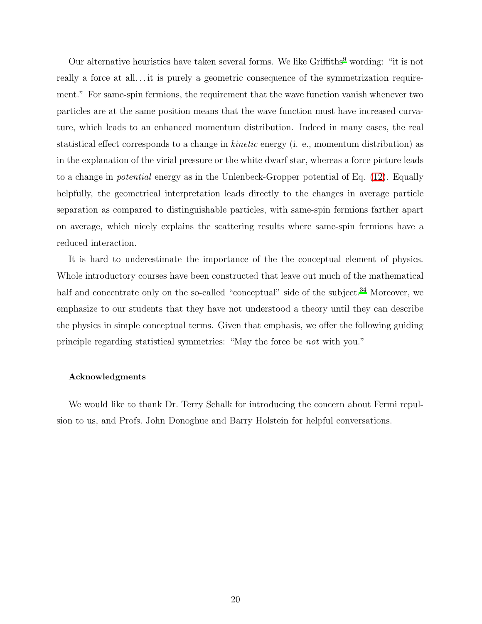Our alternative heuristics have taken several forms. We like  $Griffiths<sup>9</sup>$  $Griffiths<sup>9</sup>$  $Griffiths<sup>9</sup>$  wording: "it is not really a force at all...it is purely a geometric consequence of the symmetrization requirement." For same-spin fermions, the requirement that the wave function vanish whenever two particles are at the same position means that the wave function must have increased curvature, which leads to an enhanced momentum distribution. Indeed in many cases, the real statistical effect corresponds to a change in kinetic energy (i. e., momentum distribution) as in the explanation of the virial pressure or the white dwarf star, whereas a force picture leads to a change in potential energy as in the Unlenbeck-Gropper potential of Eq. [\(12\)](#page-6-2). Equally helpfully, the geometrical interpretation leads directly to the changes in average particle separation as compared to distinguishable particles, with same-spin fermions farther apart on average, which nicely explains the scattering results where same-spin fermions have a reduced interaction.

It is hard to underestimate the importance of the the conceptual element of physics. Whole introductory courses have been constructed that leave out much of the mathematical half and concentrate only on the so-called "conceptual" side of the subject.<sup>[34](#page-22-2)</sup> Moreover, we emphasize to our students that they have not understood a theory until they can describe the physics in simple conceptual terms. Given that emphasis, we offer the following guiding principle regarding statistical symmetries: "May the force be not with you."

#### Acknowledgments

We would like to thank Dr. Terry Schalk for introducing the concern about Fermi repulsion to us, and Profs. John Donoghue and Barry Holstein for helpful conversations.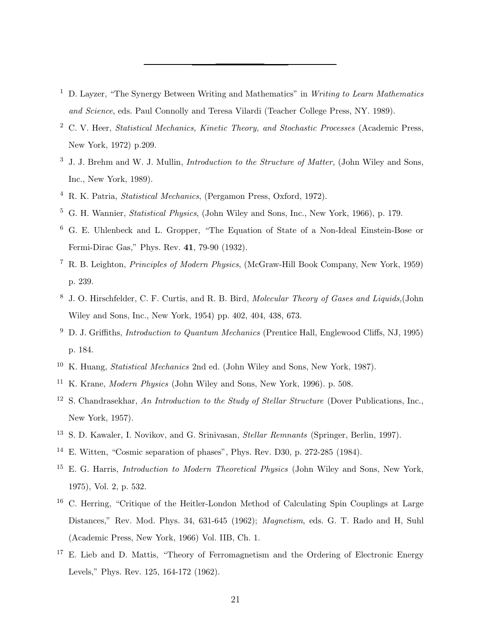- <span id="page-20-0"></span><sup>1</sup> D. Layzer, "The Synergy Between Writing and Mathematics" in *Writing to Learn Mathematics* and Science, eds. Paul Connolly and Teresa Vilardi (Teacher College Press, NY. 1989).
- <span id="page-20-1"></span><sup>2</sup> C. V. Heer, *Statistical Mechanics, Kinetic Theory, and Stochastic Processes* (Academic Press, New York, 1972) p.209.
- <span id="page-20-2"></span> $3\,$  J. J. Brehm and W. J. Mullin, *Introduction to the Structure of Matter*, (John Wiley and Sons, Inc., New York, 1989).
- <span id="page-20-3"></span><sup>4</sup> R. K. Patria, Statistical Mechanics, (Pergamon Press, Oxford, 1972).
- <span id="page-20-5"></span><sup>5</sup> G. H. Wannier, Statistical Physics, (John Wiley and Sons, Inc., New York, 1966), p. 179.
- <span id="page-20-4"></span><sup>6</sup> G. E. Uhlenbeck and L. Gropper, "The Equation of State of a Non-Ideal Einstein-Bose or Fermi-Dirac Gas," Phys. Rev. 41, 79-90 (1932).
- <span id="page-20-6"></span><sup>7</sup> R. B. Leighton, Principles of Modern Physics, (McGraw-Hill Book Company, New York, 1959) p. 239.
- <span id="page-20-7"></span><sup>8</sup> J. O. Hirschfelder, C. F. Curtis, and R. B. Bird, Molecular Theory of Gases and Liquids,(John Wiley and Sons, Inc., New York, 1954) pp. 402, 404, 438, 673.
- <span id="page-20-8"></span> $9$  D. J. Griffiths, *Introduction to Quantum Mechanics* (Prentice Hall, Englewood Cliffs, NJ, 1995) p. 184.
- <span id="page-20-9"></span><sup>10</sup> K. Huang, Statistical Mechanics 2nd ed. (John Wiley and Sons, New York, 1987).
- <span id="page-20-10"></span><sup>11</sup> K. Krane, Modern Physics (John Wiley and Sons, New York, 1996). p. 508.
- <span id="page-20-11"></span><sup>12</sup> S. Chandrasekhar, An Introduction to the Study of Stellar Structure (Dover Publications, Inc., New York, 1957).
- <span id="page-20-12"></span><sup>13</sup> S. D. Kawaler, I. Novikov, and G. Srinivasan, *Stellar Remnants* (Springer, Berlin, 1997).
- <span id="page-20-13"></span><sup>14</sup> E. Witten, "Cosmic separation of phases", Phys. Rev. D30, p. 272-285 (1984).
- <span id="page-20-14"></span> $15$  E. G. Harris, *Introduction to Modern Theoretical Physics* (John Wiley and Sons, New York, 1975), Vol. 2, p. 532.
- <span id="page-20-15"></span><sup>16</sup> C. Herring, "Critique of the Heitler-London Method of Calculating Spin Couplings at Large Distances," Rev. Mod. Phys. 34, 631-645 (1962); Magnetism, eds. G. T. Rado and H, Suhl (Academic Press, New York, 1966) Vol. IIB, Ch. 1.
- <span id="page-20-16"></span><sup>17</sup> E. Lieb and D. Mattis, "Theory of Ferromagnetism and the Ordering of Electronic Energy Levels," Phys. Rev. 125, 164-172 (1962).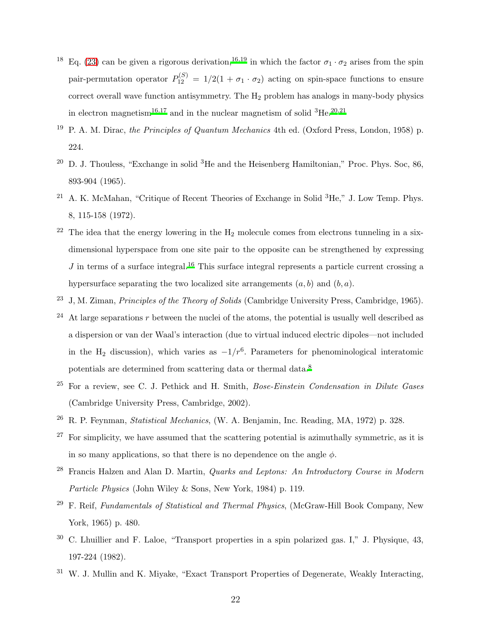- <span id="page-21-0"></span><sup>18</sup> Eq. [\(23\)](#page-11-1) can be given a rigorous derivation,<sup>[16](#page-20-15)[,19](#page-21-11)</sup> in which the factor  $\sigma_1 \cdot \sigma_2$  arises from the spin pair-permutation operator  $P_{12}^{(S)} = 1/2(1 + \sigma_1 \cdot \sigma_2)$  acting on spin-space functions to ensure correct overall wave function antisymmetry. The  $H_2$  problem has analogs in many-body physics in electron magnetism<sup>[16](#page-20-15)[,17](#page-20-16)</sup> and in the nuclear magnetism of solid <sup>3</sup>He.<sup>[20](#page-21-12)[,21](#page-21-13)</sup>
- <span id="page-21-11"></span><sup>19</sup> P. A. M. Dirac, the Principles of Quantum Mechanics 4th ed. (Oxford Press, London, 1958) p. 224.
- <span id="page-21-12"></span><sup>20</sup> D. J. Thouless, "Exchange in solid <sup>3</sup>He and the Heisenberg Hamiltonian," Proc. Phys. Soc, 86, 893-904 (1965).
- <span id="page-21-13"></span><sup>21</sup> A. K. McMahan, "Critique of Recent Theories of Exchange in Solid  ${}^{3}$ He," J. Low Temp. Phys. 8, 115-158 (1972).
- <span id="page-21-1"></span> $22$  The idea that the energy lowering in the  $H_2$  molecule comes from electrons tunneling in a sixdimensional hyperspace from one site pair to the opposite can be strengthened by expressing  $J$  in terms of a surface integral.<sup>[16](#page-20-15)</sup> This surface integral represents a particle current crossing a hypersurface separating the two localized site arrangements  $(a, b)$  and  $(b, a)$ .
- <span id="page-21-2"></span> $^{23}$  J, M. Ziman, *Principles of the Theory of Solids* (Cambridge University Press, Cambridge, 1965).
- <span id="page-21-3"></span>At large separations  $r$  between the nuclei of the atoms, the potential is usually well described as a dispersion or van der Waal's interaction (due to virtual induced electric dipoles—not included in the H<sub>2</sub> discussion), which varies as  $-1/r^6$ . Parameters for phenominological interatomic potentials are determined from scattering data or thermal data.<sup>[8](#page-20-7)</sup>
- <span id="page-21-4"></span> $25$  For a review, see C. J. Pethick and H. Smith, *Bose-Einstein Condensation in Dilute Gases* (Cambridge University Press, Cambridge, 2002).
- <span id="page-21-5"></span><sup>26</sup> R. P. Feynman, Statistical Mechanics, (W. A. Benjamin, Inc. Reading, MA, 1972) p. 328.
- <span id="page-21-6"></span><sup>27</sup> For simplicity, we have assumed that the scattering potential is azimuthally symmetric, as it is in so many applications, so that there is no dependence on the angle  $\phi$ .
- <span id="page-21-7"></span> $^{28}$  Francis Halzen and Alan D. Martin, Quarks and Leptons: An Introductory Course in Modern Particle Physics (John Wiley & Sons, New York, 1984) p. 119.
- <span id="page-21-8"></span><sup>29</sup> F. Reif, *Fundamentals of Statistical and Thermal Physics*, (McGraw-Hill Book Company, New York, 1965) p. 480.
- <span id="page-21-9"></span> $30\,$  C. Lhuillier and F. Laloe, "Transport properties in a spin polarized gas. I," J. Physique, 43, 197-224 (1982).
- <span id="page-21-10"></span> $31$  W. J. Mullin and K. Miyake, "Exact Transport Properties of Degenerate, Weakly Interacting,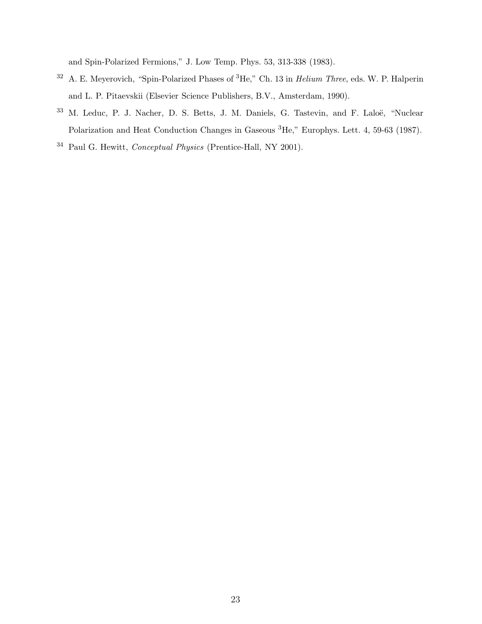and Spin-Polarized Fermions," J. Low Temp. Phys. 53, 313-338 (1983).

- <span id="page-22-0"></span><sup>32</sup> A. E. Meyerovich, "Spin-Polarized Phases of <sup>3</sup>He," Ch. 13 in Helium Three, eds. W. P. Halperin and L. P. Pitaevskii (Elsevier Science Publishers, B.V., Amsterdam, 1990).
- <span id="page-22-1"></span><sup>33</sup> M. Leduc, P. J. Nacher, D. S. Betts, J. M. Daniels, G. Tastevin, and F. Laloë, "Nuclear Polarization and Heat Conduction Changes in Gaseous <sup>3</sup>He," Europhys. Lett. 4, 59-63 (1987).
- <span id="page-22-2"></span> $^{34}\,$  Paul G. Hewitt,  $\emph{Conceptual Physics}$  (Prentice-Hall, NY 2001).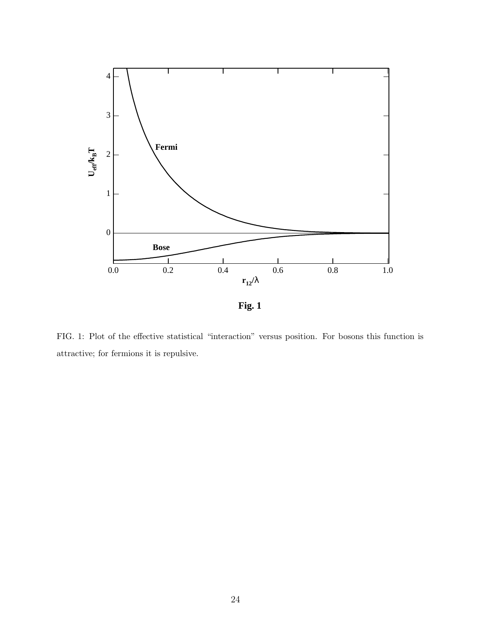

<span id="page-23-0"></span>FIG. 1: Plot of the effective statistical "interaction" versus position. For bosons this function is attractive; for fermions it is repulsive.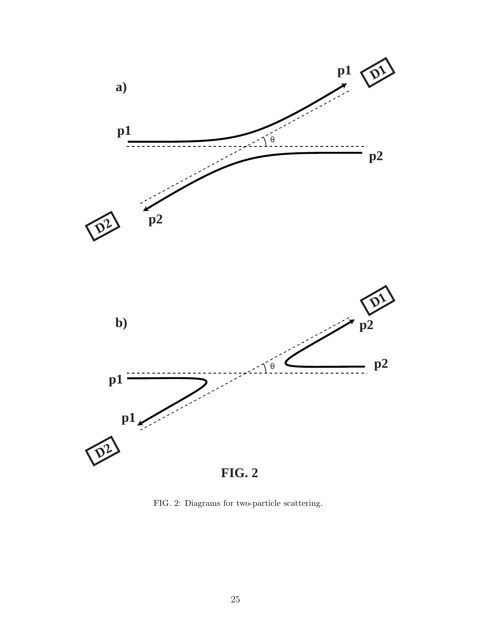

<span id="page-24-0"></span>FIG. 2: Diagrams for two-particle scattering.